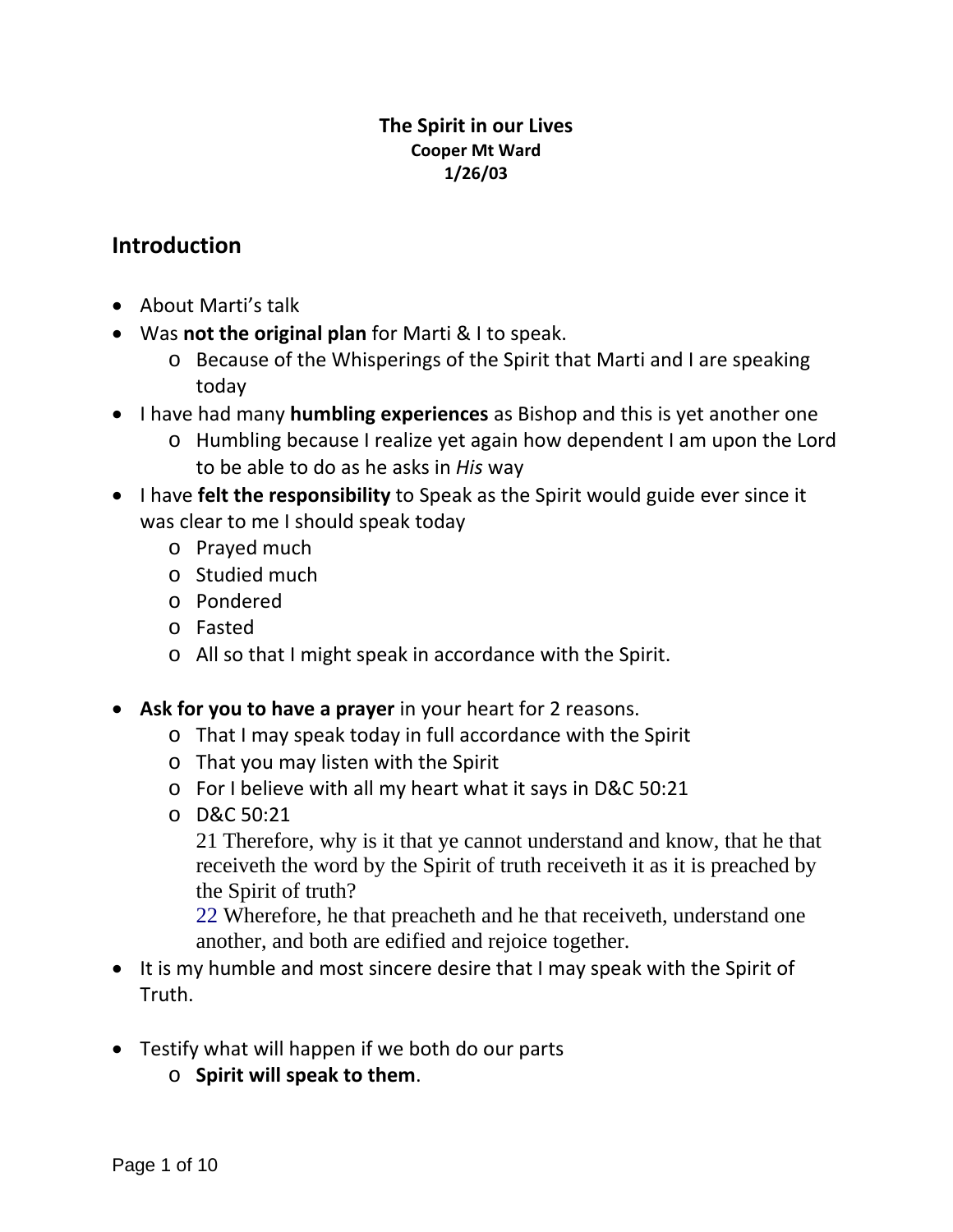#### **The Spirit in our Lives Cooper Mt Ward 1/26/03**

## **Introduction**

- About Marti's talk
- Was **not the original plan** for Marti & I to speak.
	- o Because of the Whisperings of the Spirit that Marti and I are speaking today
- I have had many **humbling experiences** as Bishop and this is yet another one
	- o Humbling because I realize yet again how dependent I am upon the Lord to be able to do as he asks in *His* way
- I have **felt the responsibility** to Speak as the Spirit would guide ever since it was clear to me I should speak today
	- o Prayed much
	- o Studied much
	- o Pondered
	- o Fasted
	- o All so that I might speak in accordance with the Spirit.
- **Ask for you to have a prayer** in your heart for 2 reasons.
	- o That I may speak today in full accordance with the Spirit
	- o That you may listen with the Spirit
	- o For I believe with all my heart what it says in D&C 50:21
	- o D&C 50:21

21 Therefore, why is it that ye cannot understand and know, that he that receiveth the word by the Spirit of truth receiveth it as it is preached by the Spirit of truth?

22 Wherefore, he that preacheth and he that receiveth, understand one another, and both are edified and rejoice together.

- It is my humble and most sincere desire that I may speak with the Spirit of Truth.
- Testify what will happen if we both do our parts
	- o **Spirit will speak to them**.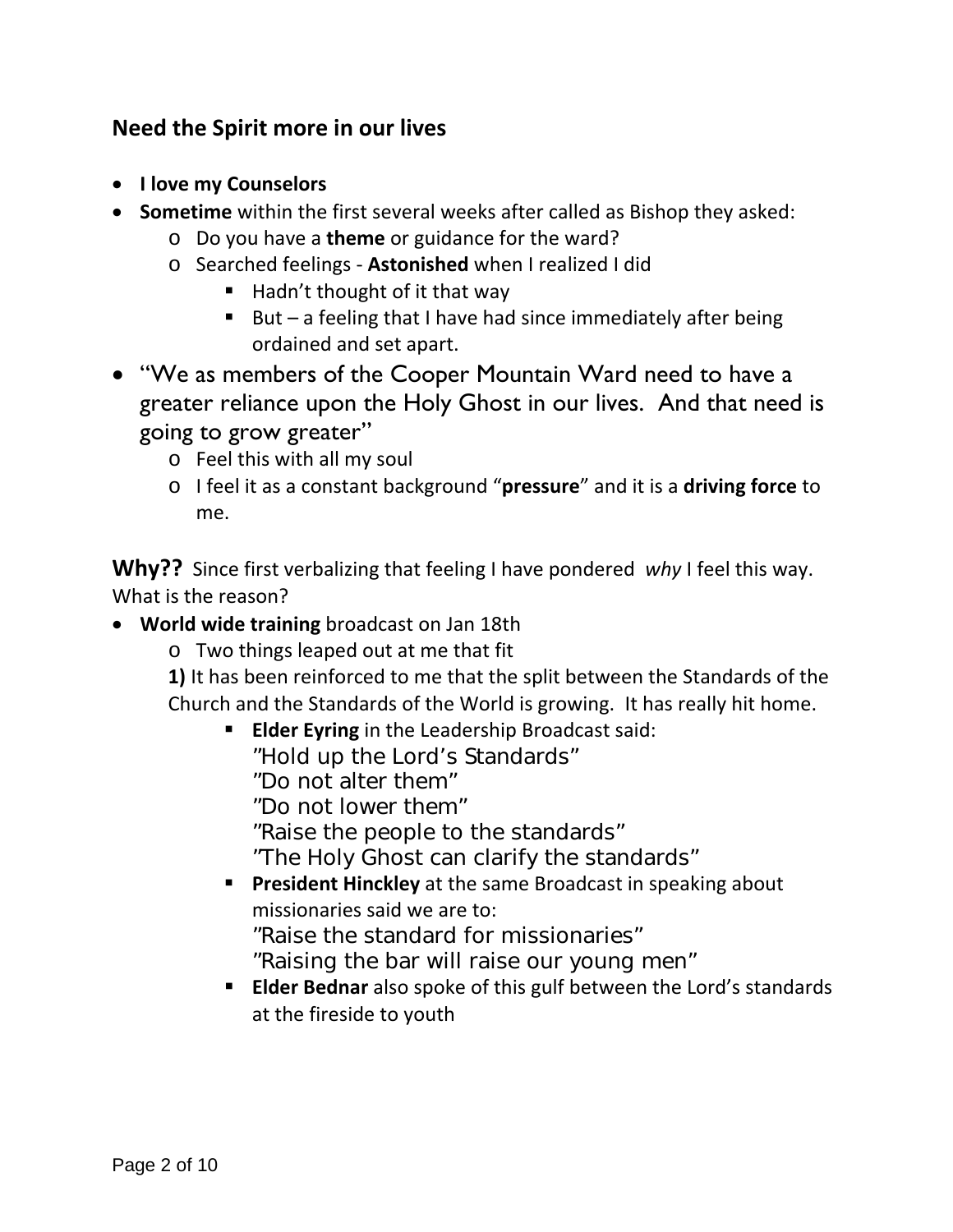## **Need the Spirit more in our lives**

- **I love my Counselors**
- **Sometime** within the first several weeks after called as Bishop they asked:
	- o Do you have a **theme** or guidance for the ward?
	- o Searched feelings ‐ **Astonished** when I realized I did
		- $\blacksquare$  Hadn't thought of it that way
		- But a feeling that I have had since immediately after being ordained and set apart.
- "We as members of the Cooper Mountain Ward need to have a greater reliance upon the Holy Ghost in our lives. And that need is going to grow greater"
	- o Feel this with all my soul
	- o I feel it as a constant background "**pressure**" and it is a **driving force** to me.

**Why??** Since first verbalizing that feeling I have pondered *why* I feel this way. What is the reason?

- **World wide training** broadcast on Jan 18th
	- o Two things leaped out at me that fit

**1)** It has been reinforced to me that the split between the Standards of the Church and the Standards of the World is growing. It has really hit home.

**Elder Eyring** in the Leadership Broadcast said:

"Hold up the Lord's Standards"

"Do not alter them"

"Do not lower them"

"Raise the people to the standards"

- "The Holy Ghost can clarify the standards"
- **President Hinckley** at the same Broadcast in speaking about missionaries said we are to:

"Raise the standard for missionaries"

"Raising the bar will raise our young men"

 **Elder Bednar** also spoke of this gulf between the Lord's standards at the fireside to youth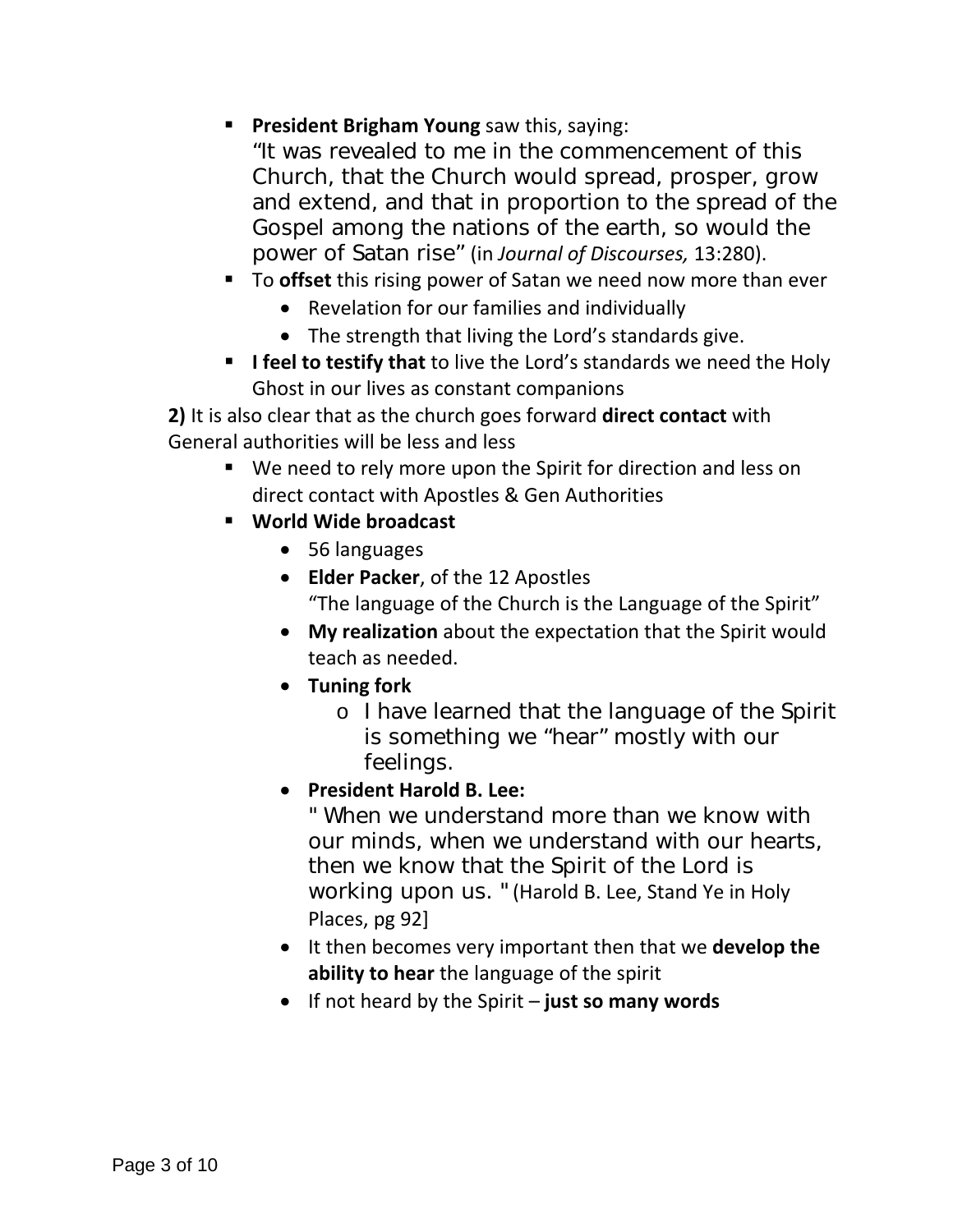**President Brigham Young** saw this, saying:

"It was revealed to me in the commencement of this Church, that the Church would spread, prosper, grow and extend, and that in proportion to the spread of the Gospel among the nations of the earth, so would the power of Satan rise" (in *Journal of Discourses,* 13:280).

- To **offset** this rising power of Satan we need now more than ever
	- Revelation for our families and individually
	- The strength that living the Lord's standards give.
- **I feel to testify that** to live the Lord's standards we need the Holy Ghost in our lives as constant companions

**2)** It is also clear that as the church goes forward **direct contact** with General authorities will be less and less

- We need to rely more upon the Spirit for direction and less on direct contact with Apostles & Gen Authorities
- **World Wide broadcast**
	- 56 languages
	- **Elder Packer**, of the 12 Apostles "The language of the Church is the Language of the Spirit"
	- **My realization** about the expectation that the Spirit would teach as needed.
	- **Tuning fork**
		- o I have learned that the language of the Spirit is something we "hear" mostly with our feelings.
	- **President Harold B. Lee:**

" When we understand more than we know with our minds, when we understand with our hearts, then we know that the Spirit of the Lord is working upon us. " (Harold B. Lee, Stand Ye in Holy Places, pg 92]

- It then becomes very important then that we **develop the ability to hear** the language of the spirit
- If not heard by the Spirit **just so many words**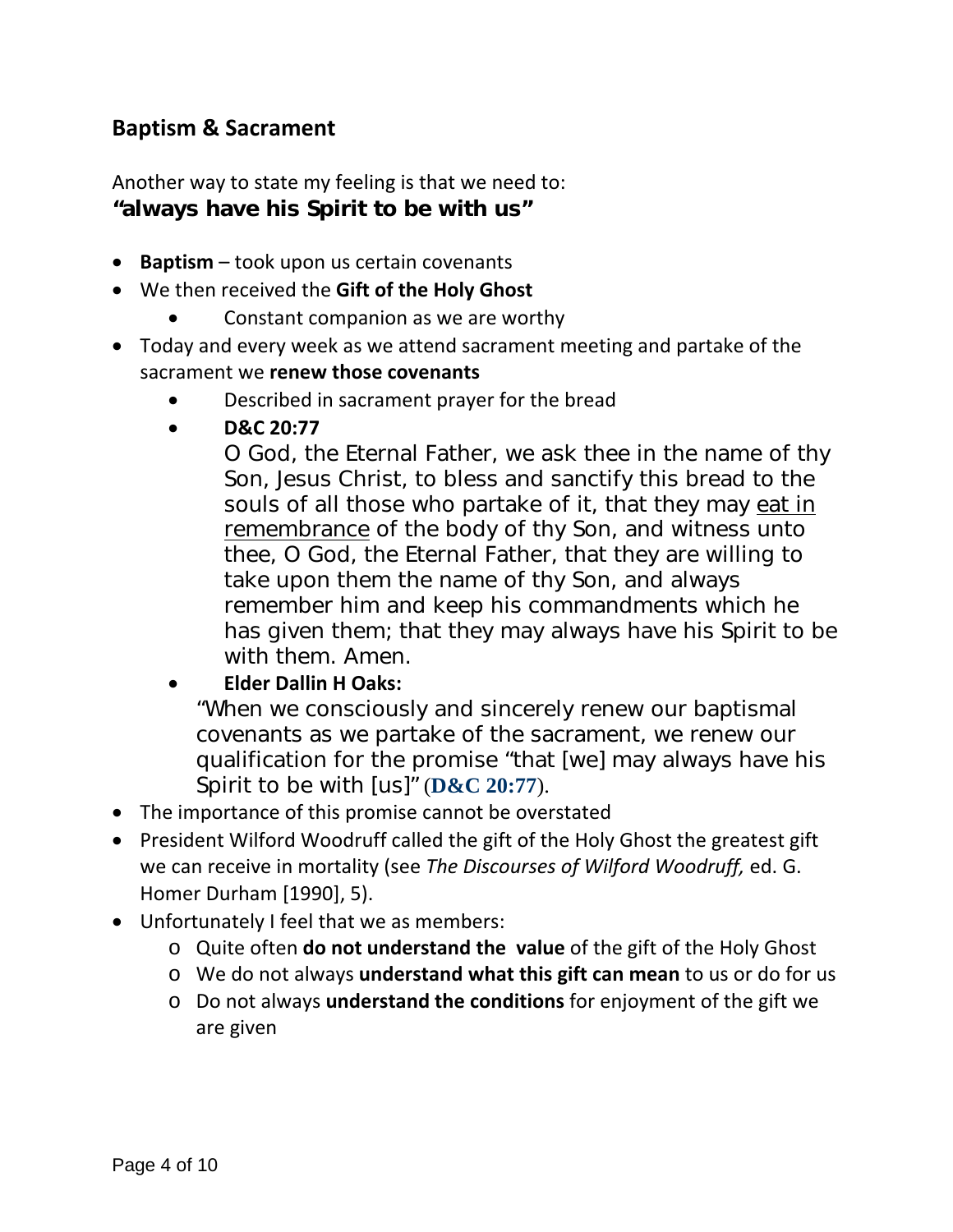## **Baptism & Sacrament**

Another way to state my feeling is that we need to: **"always have his Spirit to be with us"** 

- **Baptism** took upon us certain covenants
- We then received the **Gift of the Holy Ghost**
	- Constant companion as we are worthy
- Today and every week as we attend sacrament meeting and partake of the sacrament we **renew those covenants**
	- Described in sacrament prayer for the bread
	- **D&C 20:77**

O God, the Eternal Father, we ask thee in the name of thy Son, Jesus Christ, to bless and sanctify this bread to the souls of all those who partake of it, that they may eat in remembrance of the body of thy Son, and witness unto thee, O God, the Eternal Father, that they are willing to take upon them the name of thy Son, and always remember him and keep his commandments which he has given them; that they may always have his Spirit to be with them. Amen.

**Elder Dallin H Oaks:**

"When we consciously and sincerely renew our baptismal covenants as we partake of the sacrament, we renew our qualification for the promise "that [we] may always have his Spirit to be with [us]" (**D&C 20:77**).

- The importance of this promise cannot be overstated
- President Wilford Woodruff called the gift of the Holy Ghost the greatest gift we can receive in mortality (see *The Discourses of Wilford Woodruff,* ed. G. Homer Durham [1990], 5).
- Unfortunately I feel that we as members:
	- o Quite often **do not understand the value** of the gift of the Holy Ghost
	- o We do not always **understand what this gift can mean** to us or do for us
	- o Do not always **understand the conditions** for enjoyment of the gift we are given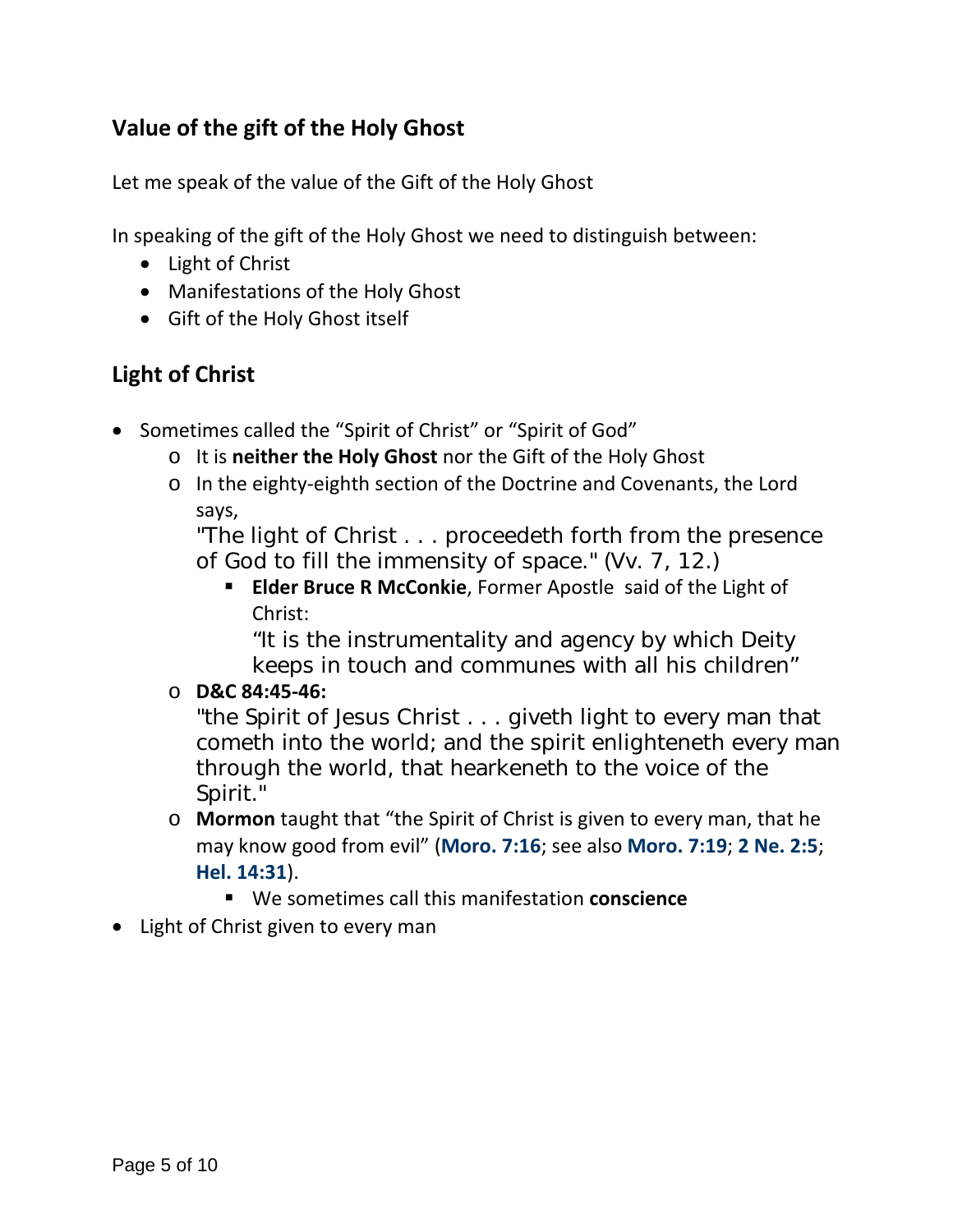# **Value of the gift of the Holy Ghost**

Let me speak of the value of the Gift of the Holy Ghost

In speaking of the gift of the Holy Ghost we need to distinguish between:

- Light of Christ
- Manifestations of the Holy Ghost
- Gift of the Holy Ghost itself

# **Light of Christ**

- Sometimes called the "Spirit of Christ" or "Spirit of God"
	- o It is **neither the Holy Ghost** nor the Gift of the Holy Ghost
	- o In the eighty‐eighth section of the Doctrine and Covenants, the Lord says,

"The light of Christ . . . proceedeth forth from the presence of God to fill the immensity of space." (Vv. 7, 12.)

 **Elder Bruce R McConkie**, Former Apostle said of the Light of Christ:

"It is the instrumentality and agency by which Deity keeps in touch and communes with all his children"

### o **D&C 84:45‐46:**

"the Spirit of Jesus Christ . . . giveth light to every man that cometh into the world; and the spirit enlighteneth every man through the world, that hearkeneth to the voice of the Spirit."

- o **Mormon** taught that "the Spirit of Christ is given to every man, that he may know good from evil" (**Moro. 7:16**; see also **Moro. 7:19**; **2 Ne. 2:5**; **Hel. 14:31**).
	- We sometimes call this manifestation **conscience**
- Light of Christ given to every man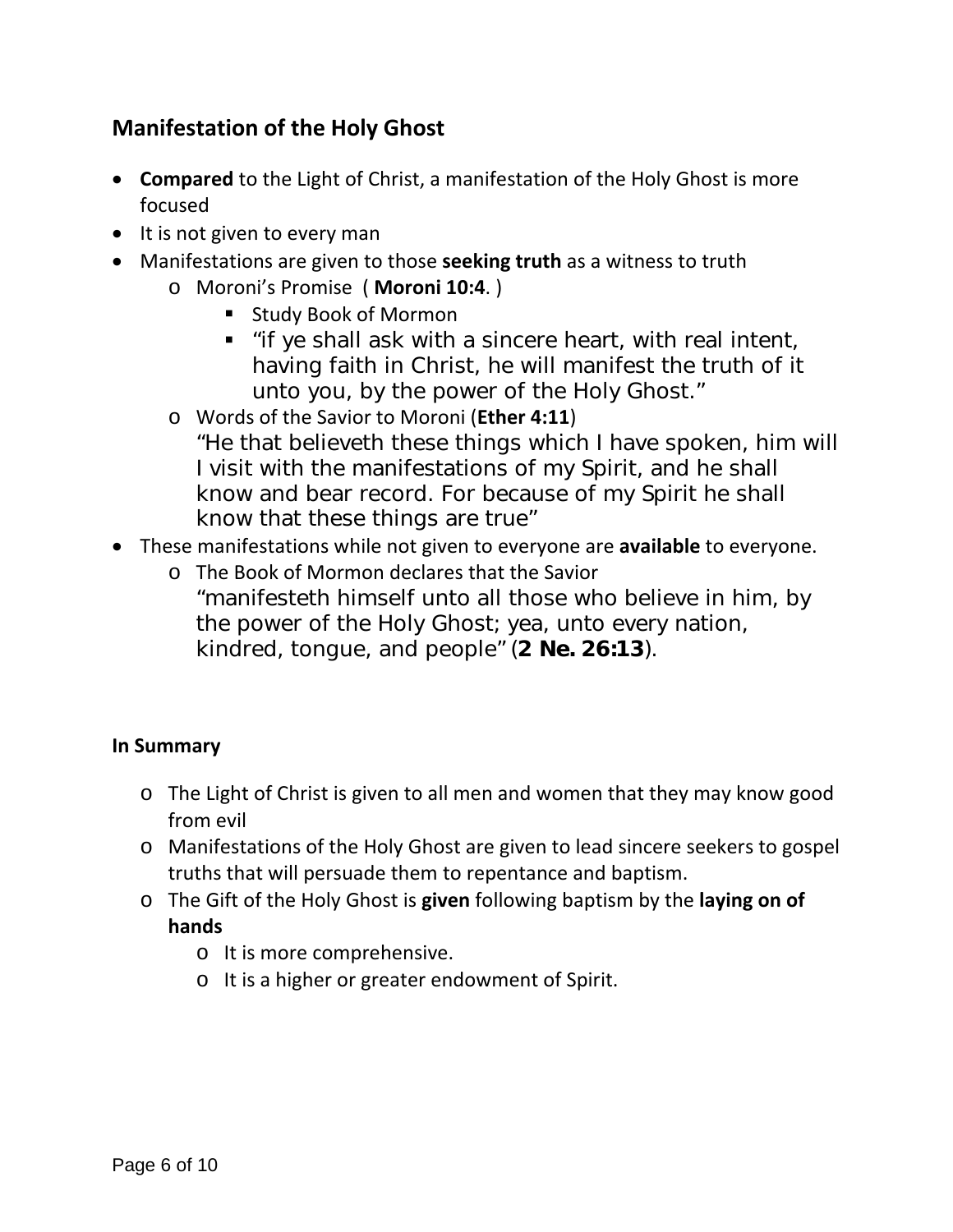# **Manifestation of the Holy Ghost**

- **Compared** to the Light of Christ, a manifestation of the Holy Ghost is more focused
- It is not given to every man
- Manifestations are given to those **seeking truth** as a witness to truth
	- o Moroni's Promise ( **Moroni 10:4**. )
		- **Study Book of Mormon**
		- $\blacksquare$  "if ye shall ask with a sincere heart, with real intent, having faith in Christ, he will manifest the truth of it unto you, by the power of the Holy Ghost."
	- o Words of the Savior to Moroni (**Ether 4:11**) "He that believeth these things which I have spoken, him will I visit with the manifestations of my Spirit, and he shall know and bear record. For because of my Spirit he shall know that these things are true"
- These manifestations while not given to everyone are **available** to everyone.
	- o The Book of Mormon declares that the Savior "manifesteth himself unto all those who believe in him, by the power of the Holy Ghost; yea, unto every nation, kindred, tongue, and people" (**2 Ne. 26:13**).

### **In Summary**

- o The Light of Christ is given to all men and women that they may know good from evil
- o Manifestations of the Holy Ghost are given to lead sincere seekers to gospel truths that will persuade them to repentance and baptism.
- o The Gift of the Holy Ghost is **given** following baptism by the **laying on of hands**
	- o It is more comprehensive.
	- o It is a higher or greater endowment of Spirit.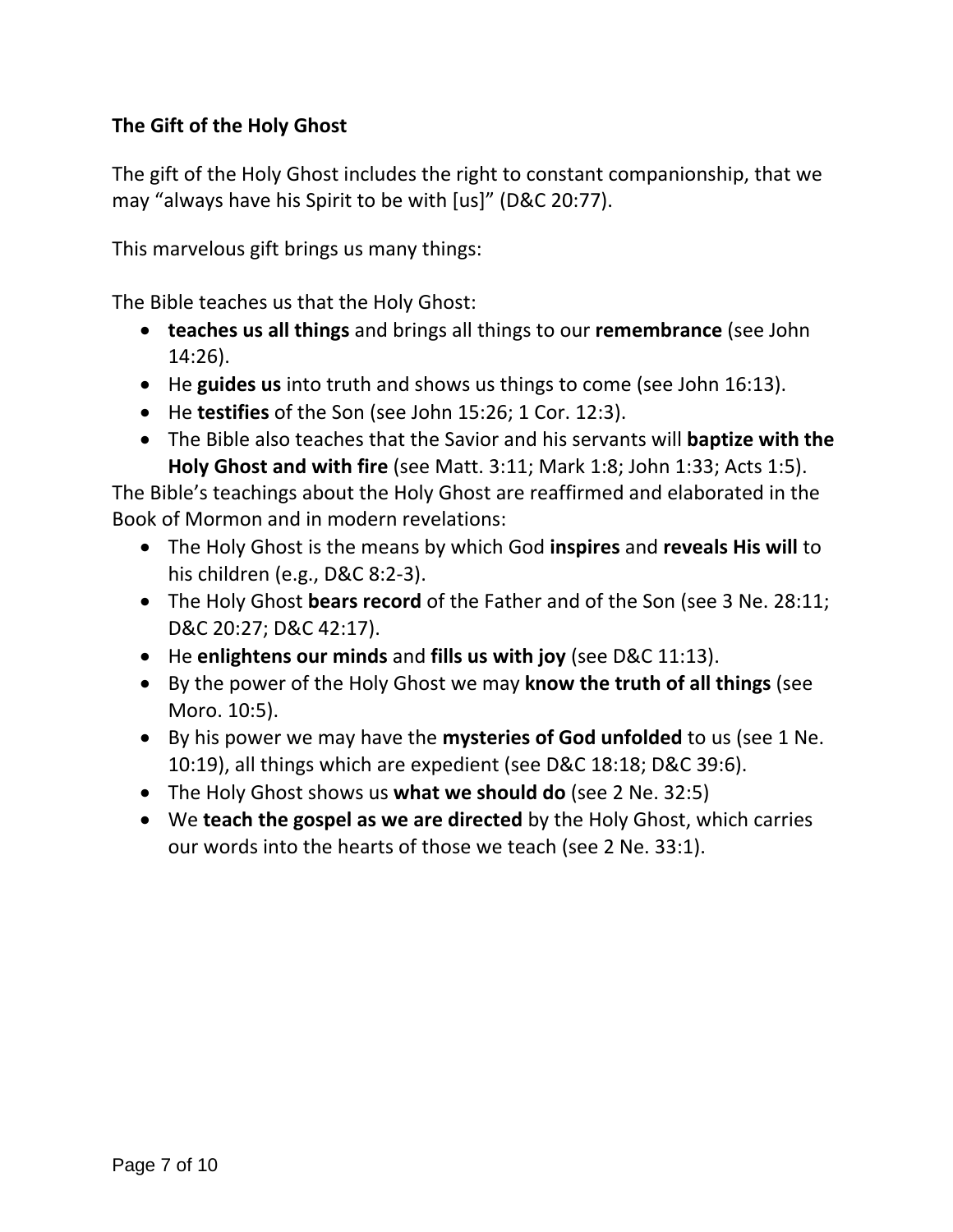### **The Gift of the Holy Ghost**

The gift of the Holy Ghost includes the right to constant companionship, that we may "always have his Spirit to be with [us]" (D&C 20:77).

This marvelous gift brings us many things:

The Bible teaches us that the Holy Ghost:

- **teaches us all things** and brings all things to our **remembrance** (see John 14:26).
- He **guides us** into truth and shows us things to come (see John 16:13).
- He **testifies** of the Son (see John 15:26; 1 Cor. 12:3).
- The Bible also teaches that the Savior and his servants will **baptize with the Holy Ghost and with fire** (see Matt. 3:11; Mark 1:8; John 1:33; Acts 1:5).

The Bible's teachings about the Holy Ghost are reaffirmed and elaborated in the Book of Mormon and in modern revelations:

- The Holy Ghost is the means by which God **inspires** and **reveals His will** to his children (e.g., D&C 8:2‐3).
- The Holy Ghost **bears record** of the Father and of the Son (see 3 Ne. 28:11; D&C 20:27; D&C 42:17).
- He **enlightens our minds** and **fills us with joy** (see D&C 11:13).
- By the power of the Holy Ghost we may **know the truth of all things** (see Moro. 10:5).
- By his power we may have the **mysteries of God unfolded** to us (see 1 Ne. 10:19), all things which are expedient (see D&C 18:18; D&C 39:6).
- The Holy Ghost shows us **what we should do** (see 2 Ne. 32:5)
- We **teach the gospel as we are directed** by the Holy Ghost, which carries our words into the hearts of those we teach (see 2 Ne. 33:1).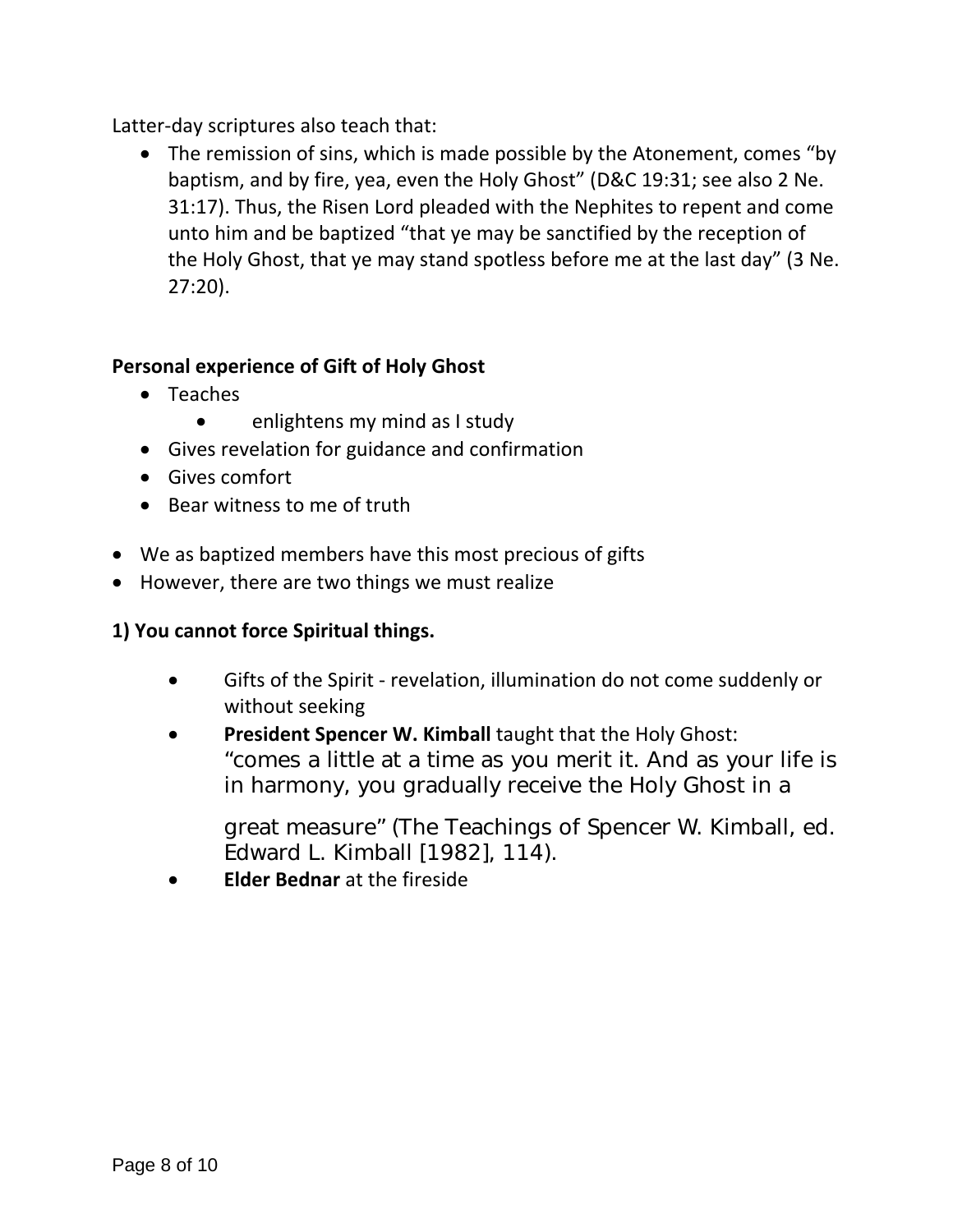Latter-day scriptures also teach that:

• The remission of sins, which is made possible by the Atonement, comes "by baptism, and by fire, yea, even the Holy Ghost" (D&C 19:31; see also 2 Ne. 31:17). Thus, the Risen Lord pleaded with the Nephites to repent and come unto him and be baptized "that ye may be sanctified by the reception of the Holy Ghost, that ye may stand spotless before me at the last day" (3 Ne. 27:20).

### **Personal experience of Gift of Holy Ghost**

- Teaches
	- enlightens my mind as I study
- Gives revelation for guidance and confirmation
- Gives comfort
- Bear witness to me of truth
- We as baptized members have this most precious of gifts
- However, there are two things we must realize

### **1) You cannot force Spiritual things.**

- Gifts of the Spirit ‐ revelation, illumination do not come suddenly or without seeking
- **President Spencer W. Kimball** taught that the Holy Ghost: "comes a little at a time as you merit it. And as your life is in harmony, you gradually receive the Holy Ghost in a

great measure" (*The Teachings of Spencer W. Kimball,* ed. Edward L. Kimball [1982], 114).

**Elder Bednar** at the fireside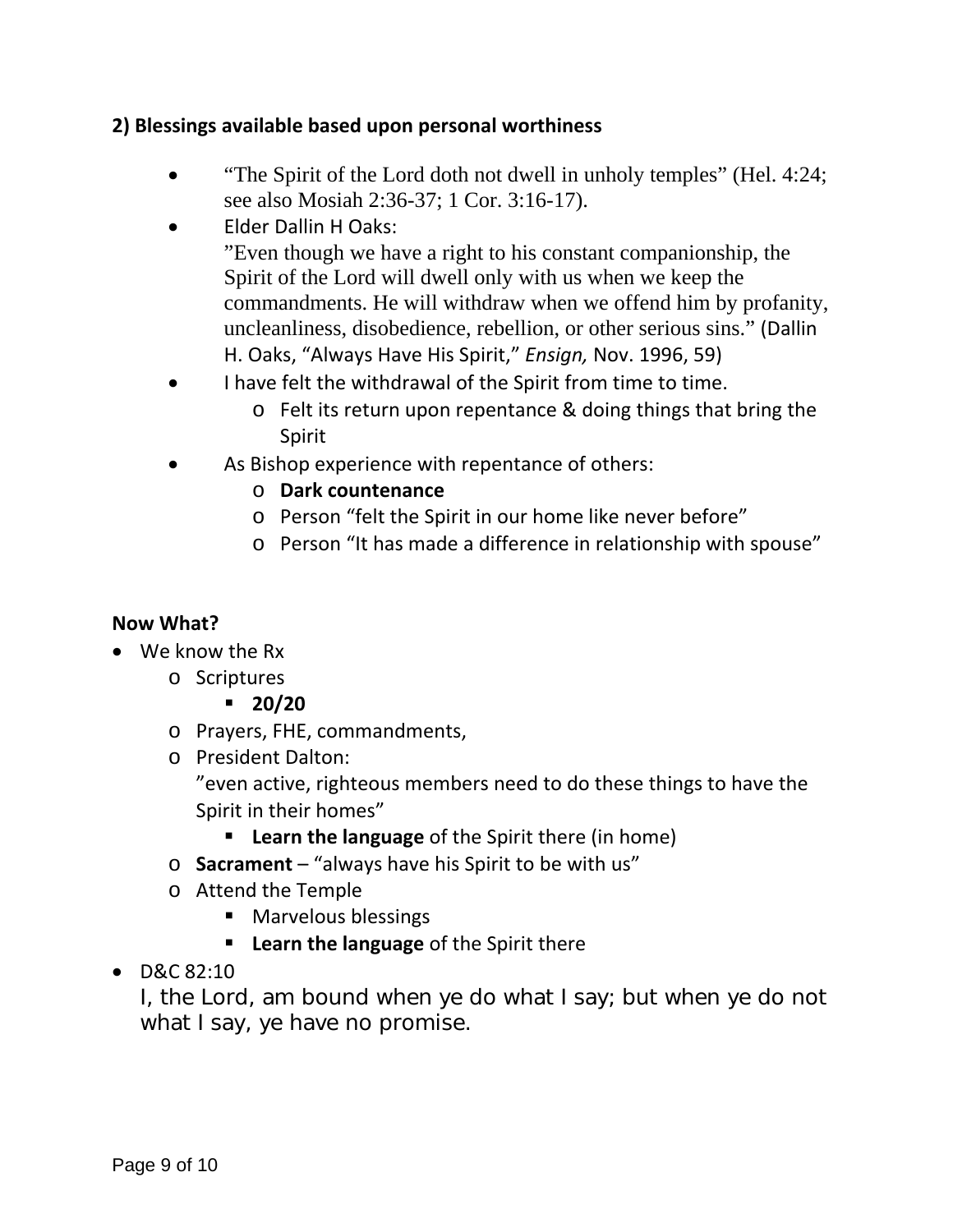#### **2) Blessings available based upon personal worthiness**

- "The Spirit of the Lord doth not dwell in unholy temples" (Hel. 4:24; see also Mosiah 2:36-37; 1 Cor. 3:16-17).
- Elder Dallin H Oaks: "Even though we have a right to his constant companionship, the Spirit of the Lord will dwell only with us when we keep the commandments. He will withdraw when we offend him by profanity, uncleanliness, disobedience, rebellion, or other serious sins." (Dallin H. Oaks, "Always Have His Spirit," *Ensign,* Nov. 1996, 59)
- I have felt the withdrawal of the Spirit from time to time.
	- o Felt its return upon repentance & doing things that bring the Spirit
- As Bishop experience with repentance of others:
	- o **Dark countenance**
	- o Person "felt the Spirit in our home like never before"
	- o Person "It has made a difference in relationship with spouse"

#### **Now What?**

- We know the Rx
	- o Scriptures
		- **20/20**
	- o Prayers, FHE, commandments,
	- o President Dalton: "even active, righteous members need to do these things to have the Spirit in their homes"
		- **Learn the language** of the Spirit there (in home)
	- o **Sacrament** "always have his Spirit to be with us"
	- o Attend the Temple
		- **Marvelous blessings**
		- **Learn the language** of the Spirit there
- $\bullet$  D&C 82:10

I, the Lord, am bound when ye do what I say; but when ye do not what I say, ye have no promise.